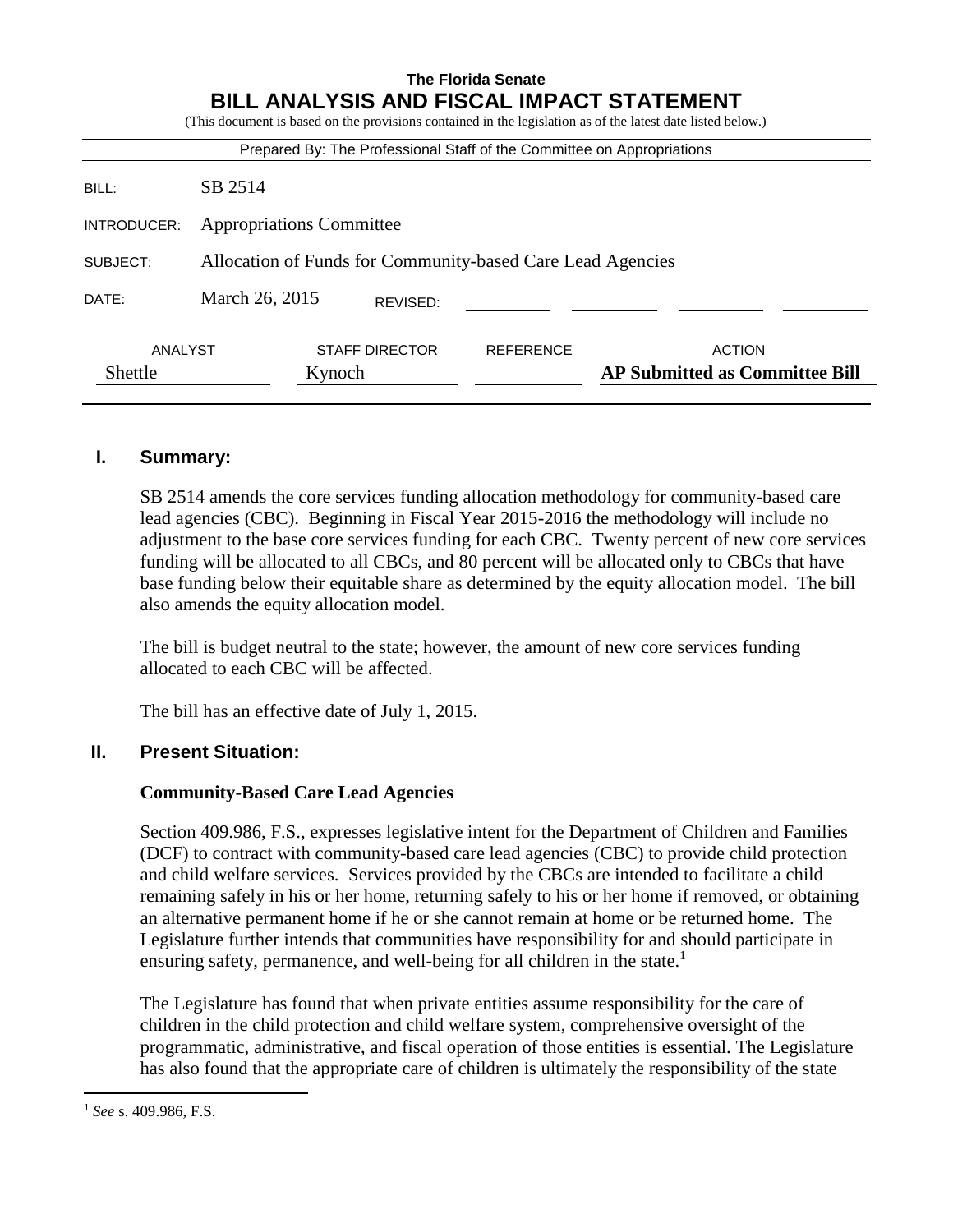| <b>The Florida Senate</b><br>BILL ANALYSIS AND FISCAL IMPACT STATEMENT<br>(This document is based on the provisions contained in the legislation as of the latest date listed below.) |                                                            |                       |                  |                                                        |
|---------------------------------------------------------------------------------------------------------------------------------------------------------------------------------------|------------------------------------------------------------|-----------------------|------------------|--------------------------------------------------------|
| Prepared By: The Professional Staff of the Committee on Appropriations                                                                                                                |                                                            |                       |                  |                                                        |
| BILL:                                                                                                                                                                                 | SB 2514                                                    |                       |                  |                                                        |
| INTRODUCER:                                                                                                                                                                           | <b>Appropriations Committee</b>                            |                       |                  |                                                        |
| SUBJECT:                                                                                                                                                                              | Allocation of Funds for Community-based Care Lead Agencies |                       |                  |                                                        |
| DATE:                                                                                                                                                                                 | March 26, 2015                                             | REVISED:              |                  |                                                        |
| ANALYST<br>Shettle                                                                                                                                                                    | Kynoch                                                     | <b>STAFF DIRECTOR</b> | <b>REFERENCE</b> | <b>ACTION</b><br><b>AP Submitted as Committee Bill</b> |

## **I. Summary:**

SB 2514 amends the core services funding allocation methodology for community-based care lead agencies (CBC). Beginning in Fiscal Year 2015-2016 the methodology will include no adjustment to the base core services funding for each CBC. Twenty percent of new core services funding will be allocated to all CBCs, and 80 percent will be allocated only to CBCs that have base funding below their equitable share as determined by the equity allocation model. The bill also amends the equity allocation model.

The bill is budget neutral to the state; however, the amount of new core services funding allocated to each CBC will be affected.

The bill has an effective date of July 1, 2015.

#### **II. Present Situation:**

#### **Community-Based Care Lead Agencies**

Section 409.986, F.S., expresses legislative intent for the Department of Children and Families (DCF) to contract with community-based care lead agencies (CBC) to provide child protection and child welfare services. Services provided by the CBCs are intended to facilitate a child remaining safely in his or her home, returning safely to his or her home if removed, or obtaining an alternative permanent home if he or she cannot remain at home or be returned home. The Legislature further intends that communities have responsibility for and should participate in ensuring safety, permanence, and well-being for all children in the state.<sup>1</sup>

The Legislature has found that when private entities assume responsibility for the care of children in the child protection and child welfare system, comprehensive oversight of the programmatic, administrative, and fiscal operation of those entities is essential. The Legislature has also found that the appropriate care of children is ultimately the responsibility of the state

 $\overline{a}$ 

<sup>1</sup> *See* s. 409.986, F.S.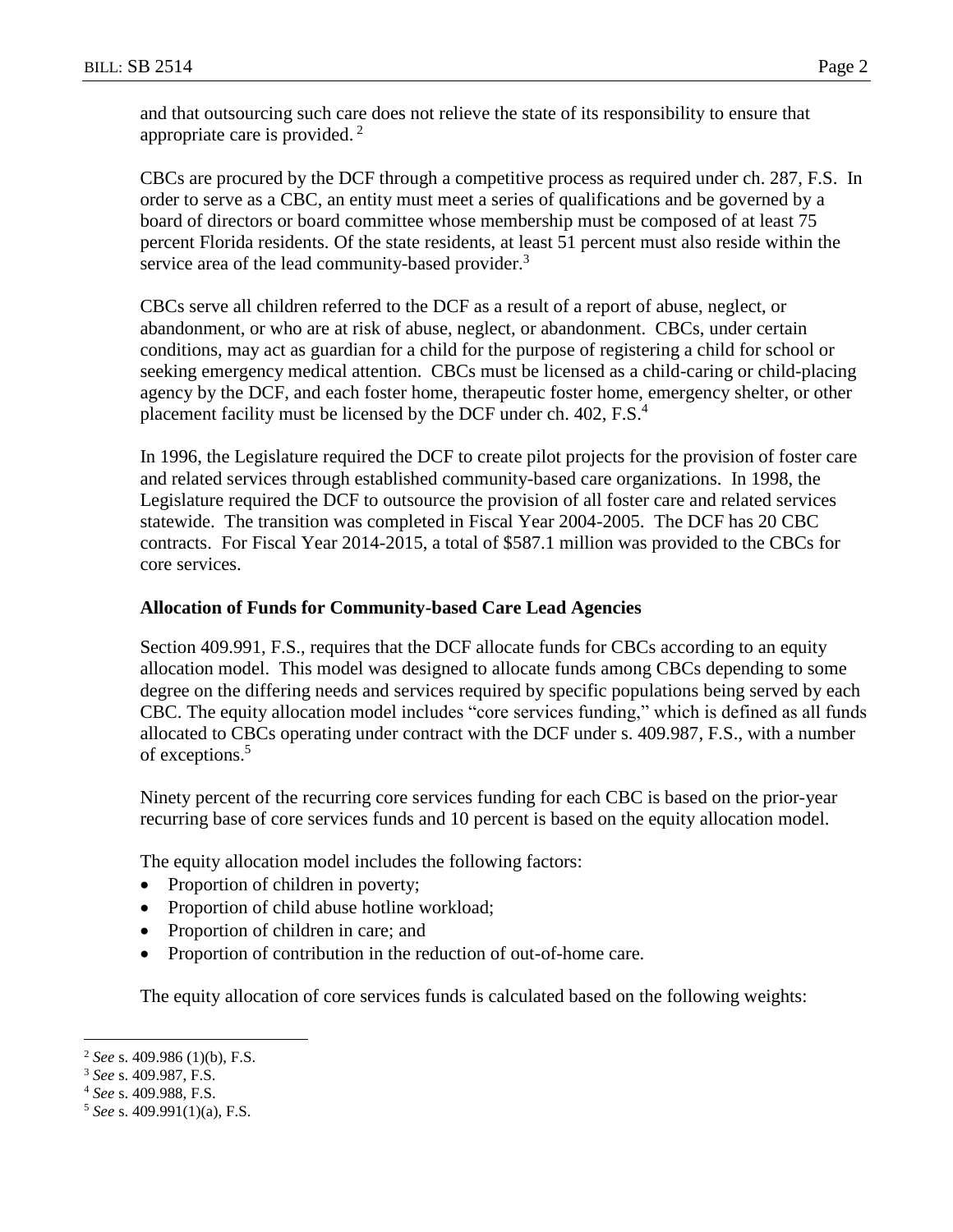and that outsourcing such care does not relieve the state of its responsibility to ensure that appropriate care is provided. <sup>2</sup>

CBCs are procured by the DCF through a competitive process as required under ch. 287, F.S. In order to serve as a CBC, an entity must meet a series of qualifications and be governed by a board of directors or board committee whose membership must be composed of at least 75 percent Florida residents. Of the state residents, at least 51 percent must also reside within the service area of the lead community-based provider.<sup>3</sup>

CBCs serve all children referred to the DCF as a result of a report of abuse, neglect, or abandonment, or who are at risk of abuse, neglect, or abandonment. CBCs, under certain conditions, may act as guardian for a child for the purpose of registering a child for school or seeking emergency medical attention. CBCs must be licensed as a child-caring or child-placing agency by the DCF, and each foster home, therapeutic foster home, emergency shelter, or other placement facility must be licensed by the DCF under ch.  $402$ , F.S.<sup>4</sup>

In 1996, the Legislature required the DCF to create pilot projects for the provision of foster care and related services through established community-based care organizations. In 1998, the Legislature required the DCF to outsource the provision of all foster care and related services statewide. The transition was completed in Fiscal Year 2004-2005. The DCF has 20 CBC contracts. For Fiscal Year 2014-2015, a total of \$587.1 million was provided to the CBCs for core services.

### **Allocation of Funds for Community-based Care Lead Agencies**

Section 409.991, F.S., requires that the DCF allocate funds for CBCs according to an equity allocation model. This model was designed to allocate funds among CBCs depending to some degree on the differing needs and services required by specific populations being served by each CBC. The equity allocation model includes "core services funding," which is defined as all funds allocated to CBCs operating under contract with the DCF under s. 409.987, F.S., with a number of exceptions.<sup>5</sup>

Ninety percent of the recurring core services funding for each CBC is based on the prior-year recurring base of core services funds and 10 percent is based on the equity allocation model.

The equity allocation model includes the following factors:

- Proportion of children in poverty;
- Proportion of child abuse hotline workload;
- Proportion of children in care; and
- Proportion of contribution in the reduction of out-of-home care.

The equity allocation of core services funds is calculated based on the following weights:

 $\overline{a}$ 

<sup>2</sup> *See* s. 409.986 (1)(b), F.S.

<sup>3</sup> *See* s. 409.987, F.S.

<sup>4</sup> *See* s. 409.988, F.S.

<sup>5</sup> *See* s. 409.991(1)(a), F.S.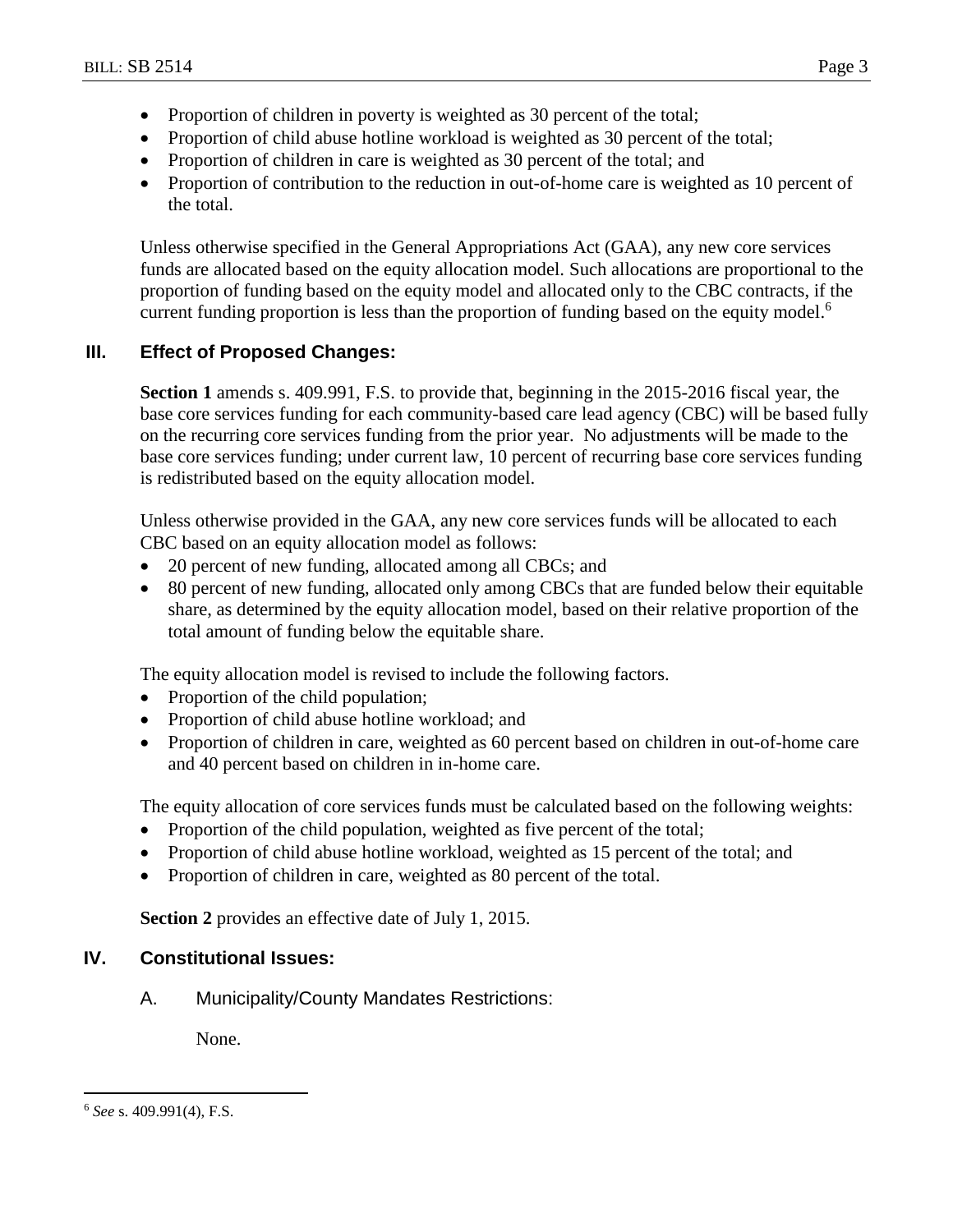- Proportion of children in poverty is weighted as 30 percent of the total;
- Proportion of child abuse hotline workload is weighted as 30 percent of the total;
- Proportion of children in care is weighted as 30 percent of the total; and
- Proportion of contribution to the reduction in out-of-home care is weighted as 10 percent of the total.

Unless otherwise specified in the General Appropriations Act (GAA), any new core services funds are allocated based on the equity allocation model. Such allocations are proportional to the proportion of funding based on the equity model and allocated only to the CBC contracts, if the current funding proportion is less than the proportion of funding based on the equity model.<sup>6</sup>

## **III. Effect of Proposed Changes:**

**Section 1** amends s. 409.991, F.S. to provide that, beginning in the 2015-2016 fiscal year, the base core services funding for each community-based care lead agency (CBC) will be based fully on the recurring core services funding from the prior year. No adjustments will be made to the base core services funding; under current law, 10 percent of recurring base core services funding is redistributed based on the equity allocation model.

Unless otherwise provided in the GAA, any new core services funds will be allocated to each CBC based on an equity allocation model as follows:

- 20 percent of new funding, allocated among all CBCs; and
- 80 percent of new funding, allocated only among CBCs that are funded below their equitable share, as determined by the equity allocation model, based on their relative proportion of the total amount of funding below the equitable share.

The equity allocation model is revised to include the following factors.

- Proportion of the child population;
- Proportion of child abuse hotline workload; and
- Proportion of children in care, weighted as 60 percent based on children in out-of-home care and 40 percent based on children in in-home care.

The equity allocation of core services funds must be calculated based on the following weights:

- Proportion of the child population, weighted as five percent of the total;
- Proportion of child abuse hotline workload, weighted as 15 percent of the total; and
- Proportion of children in care, weighted as 80 percent of the total.

**Section 2** provides an effective date of July 1, 2015.

## **IV. Constitutional Issues:**

A. Municipality/County Mandates Restrictions:

None.

 $\overline{a}$ <sup>6</sup> *See* s. 409.991(4), F.S.